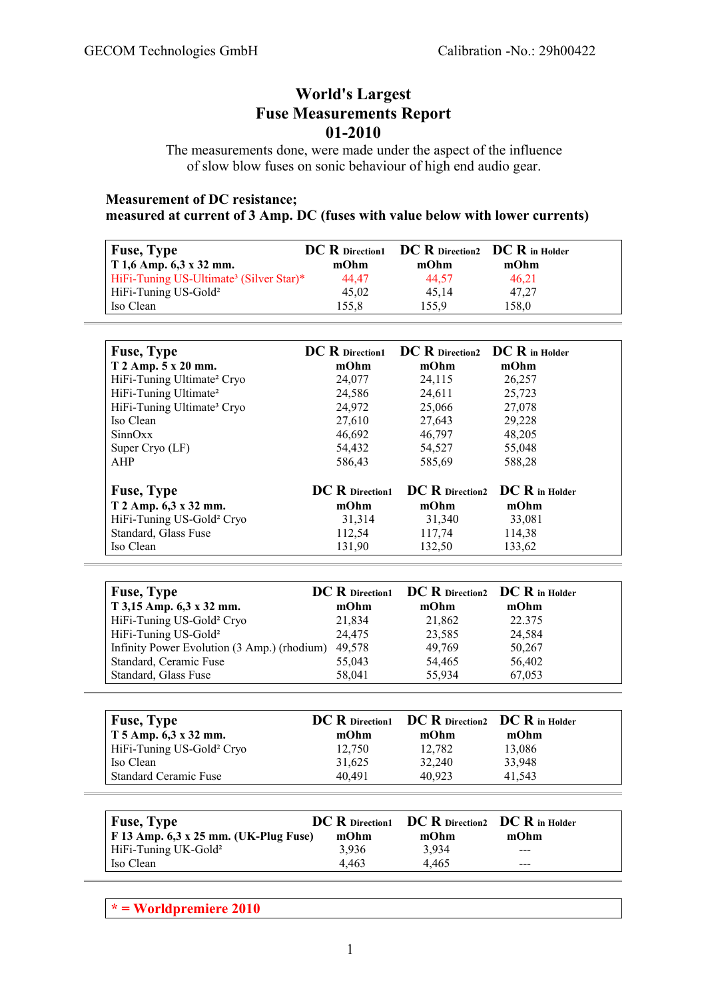# **World's Largest Fuse Measurements Report 01-2010**

The measurements done, were made under the aspect of the influence of slow blow fuses on sonic behaviour of high end audio gear.

### **Measurement of DC resistance; measured at current of 3 Amp. DC (fuses with value below with lower currents)**

| <b>Fuse, Type</b><br>$T1,6$ Amp. 6,3 x 32 mm.       | mOhm  | DC R Direction1 DC R Direction2 DC R in Holder<br>mOhm | mOhm  |  |
|-----------------------------------------------------|-------|--------------------------------------------------------|-------|--|
| HiFi-Tuning US-Ultimate <sup>3</sup> (Silver Star)* | 44.47 | 44,57                                                  | 46.21 |  |
| HiFi-Tuning US-Gold <sup>2</sup>                    | 45,02 | 45.14                                                  | 47,27 |  |
| Iso Clean                                           | 155.8 | 155.9                                                  | 158.0 |  |

| <b>Fuse, Type</b>                      | <b>DC</b> R Direction1 | $DC R$ Direction2 $DC R$ in Holder |                                |
|----------------------------------------|------------------------|------------------------------------|--------------------------------|
| $T 2$ Amp. $5 x 20$ mm.                | mOhm                   | mOhm                               | mOhm                           |
| HiFi-Tuning Ultimate <sup>2</sup> Cryo | 24,077                 | 24,115                             | 26,257                         |
| HiFi-Tuning Ultimate <sup>2</sup>      | 24,586                 | 24,611                             | 25,723                         |
| HiFi-Tuning Ultimate <sup>3</sup> Cryo | 24,972                 | 25,066                             | 27,078                         |
| Iso Clean                              | 27,610                 | 27,643                             | 29,228                         |
| SinnOxx                                | 46,692                 | 46,797                             | 48,205                         |
| Super Cryo (LF)                        | 54,432                 | 54,527                             | 55,048                         |
| AHP                                    | 586,43                 | 585,69                             | 588,28                         |
| <b>Fuse, Type</b>                      | <b>DC</b> R Direction1 |                                    | DC R Direction2 DC R in Holder |
| T 2 Amp. 6,3 x 32 mm.                  | mOhm                   | mOhm                               | mOhm                           |
| HiFi-Tuning US-Gold <sup>2</sup> Cryo  | 31,314                 | 31,340                             | 33,081                         |
| Standard, Glass Fuse                   | 112,54                 | 117,74                             | 114,38                         |
| Iso Clean                              | 131,90                 | 132,50                             | 133,62                         |

| <b>Fuse, Type</b>                           |        | <b>DC R</b> Direction1 <b>DC R</b> Direction2 <b>DC R</b> in Holder |        |
|---------------------------------------------|--------|---------------------------------------------------------------------|--------|
| T 3,15 Amp. 6,3 x 32 mm.                    | mOhm   | mOhm                                                                | mOhm   |
| HiFi-Tuning US-Gold <sup>2</sup> Cryo       | 21,834 | 21,862                                                              | 22.375 |
| HiFi-Tuning US-Gold <sup>2</sup>            | 24,475 | 23,585                                                              | 24,584 |
| Infinity Power Evolution (3 Amp.) (rhodium) | 49,578 | 49,769                                                              | 50,267 |
| Standard, Ceramic Fuse                      | 55,043 | 54,465                                                              | 56,402 |
| Standard, Glass Fuse                        | 58,041 | 55,934                                                              | 67,053 |

| <b>Fuse, Type</b><br>$T$ 5 Amp. 6,3 x 32 mm. | mOhm   | <b>DC R</b> Direction1 <b>DC R</b> Direction2 <b>DC R</b> in Holder<br>mOhm | mOhm   |
|----------------------------------------------|--------|-----------------------------------------------------------------------------|--------|
| HiFi-Tuning US-Gold <sup>2</sup> Cryo        | 12,750 | 12,782                                                                      | 13,086 |
| Iso Clean                                    | 31,625 | 32,240                                                                      | 33,948 |
| <b>Standard Ceramic Fuse</b>                 | 40.491 | 40.923                                                                      | 41.543 |

| Fuse, Type                                    |       | <b>DC R</b> Direction1 <b>DC R</b> Direction2 <b>DC R</b> in Holder |         |
|-----------------------------------------------|-------|---------------------------------------------------------------------|---------|
| $\vert$ F 13 Amp. 6,3 x 25 mm. (UK-Plug Fuse) | mOhm  | mOhm                                                                | mOhm    |
| HiFi-Tuning UK-Gold <sup>2</sup>              | 3.936 | 3.934                                                               | $- - -$ |
| Iso Clean                                     | 4.463 | 4.465                                                               | ---     |

**\* = Worldpremiere 2010**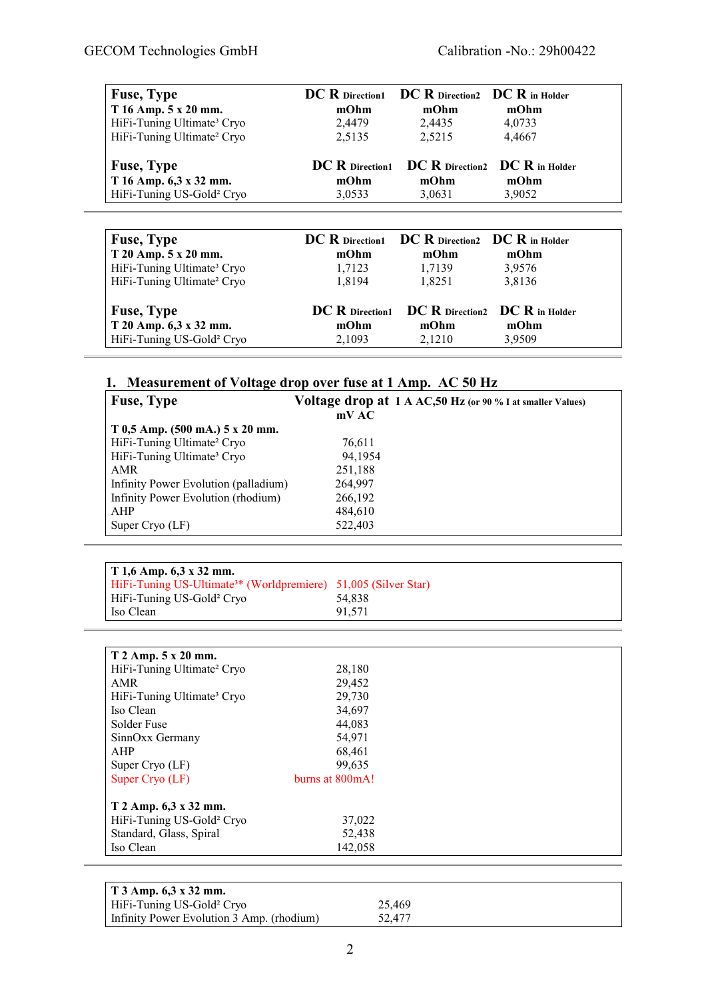| <b>Fuse, Type</b>                      |                   | <b>DC R</b> Direction1 <b>DC R</b> Direction2 <b>DC R</b> in Holder |        |
|----------------------------------------|-------------------|---------------------------------------------------------------------|--------|
| T 16 Amp. 5 x 20 mm.                   | mOhm              | mOhm                                                                | mOhm   |
| HiFi-Tuning Ultimate <sup>3</sup> Cryo | 2,4479            | 2,4435                                                              | 4,0733 |
| HiFi-Tuning Ultimate <sup>2</sup> Cryo | 2,5135            | 2,5215                                                              | 4.4667 |
| <b>Fuse, Type</b>                      | $DC R$ Direction1 | $\bf DC\ R$ Direction2 $\bf DC\ R$ in Holder                        |        |
| T 16 Amp. 6,3 x 32 mm.                 | mOhm              | mOhm                                                                | mOhm   |
| HiFi-Tuning US-Gold <sup>2</sup> Cryo  | 3,0533            | 3,0631                                                              | 3,9052 |

| <b>Fuse, Type</b>                      | <b>DC</b> R Direction1 | $\bf DC\ R$ Direction2 $\bf DC\ R$ in Holder   |        |
|----------------------------------------|------------------------|------------------------------------------------|--------|
| T 20 Amp. 5 x 20 mm.                   | mOhm                   | mOhm                                           | mOhm   |
| HiFi-Tuning Ultimate <sup>3</sup> Cryo | 1,7123                 | 1,7139                                         | 3,9576 |
| HiFi-Tuning Ultimate <sup>2</sup> Cryo | 1.8194                 | 1,8251                                         | 3,8136 |
| <b>Fuse, Type</b>                      |                        | DC R Direction1 DC R Direction2 DC R in Holder |        |
| T 20 Amp. 6,3 x 32 mm.                 | mOhm                   | mOhm                                           | mOhm   |
| HiFi-Tuning US-Gold <sup>2</sup> Cryo  | 2,1093                 | 2,1210                                         | 3,9509 |

## **1. Measurement of Voltage drop over fuse at 1 Amp. AC 50 Hz**

| <b>Fuse, Type</b>                      | Voltage drop at 1 A AC, 50 Hz (or 90 % I at smaller Values) |
|----------------------------------------|-------------------------------------------------------------|
|                                        | mVAC                                                        |
| $T_{0,5}$ Amp. (500 mA.) 5 x 20 mm.    |                                                             |
| HiFi-Tuning Ultimate <sup>2</sup> Cryo | 76,611                                                      |
| HiFi-Tuning Ultimate <sup>3</sup> Cryo | 94,1954                                                     |
| AMR                                    | 251,188                                                     |
| Infinity Power Evolution (palladium)   | 264,997                                                     |
| Infinity Power Evolution (rhodium)     | 266,192                                                     |
| AHP                                    | 484,610                                                     |
| Super Cryo $(LF)$                      | 522,403                                                     |

| $\mid$ T 1,6 Amp. 6,3 x 32 mm.                                             |        |
|----------------------------------------------------------------------------|--------|
| HiFi-Tuning US-Ultimate <sup>3*</sup> (Worldpremiere) 51,005 (Silver Star) |        |
| HiFi-Tuning US-Gold <sup>2</sup> Cryo                                      | 54.838 |
| Iso Clean                                                                  | 91.571 |

| T 2 Amp. 5 x 20 mm.                    |                 |  |
|----------------------------------------|-----------------|--|
| HiFi-Tuning Ultimate <sup>2</sup> Cryo | 28,180          |  |
| AMR                                    | 29,452          |  |
| HiFi-Tuning Ultimate <sup>3</sup> Cryo | 29,730          |  |
| Iso Clean                              | 34,697          |  |
| Solder Fuse                            | 44,083          |  |
| SinnOxx Germany                        | 54,971          |  |
| AHP                                    | 68,461          |  |
| Super Cryo $(LF)$                      | 99,635          |  |
| Super Cryo (LF)                        | burns at 800mA! |  |
| T 2 Amp. 6,3 x 32 mm.                  |                 |  |
| HiFi-Tuning US-Gold <sup>2</sup> Cryo  | 37,022          |  |
| Standard, Glass, Spiral                | 52,438          |  |
| Iso Clean                              | 142,058         |  |

| $\vert$ T 3 Amp. 6.3 x 32 mm.             |        |
|-------------------------------------------|--------|
| HiFi-Tuning US-Gold <sup>2</sup> Cryo     | 25.469 |
| Infinity Power Evolution 3 Amp. (rhodium) | 52.477 |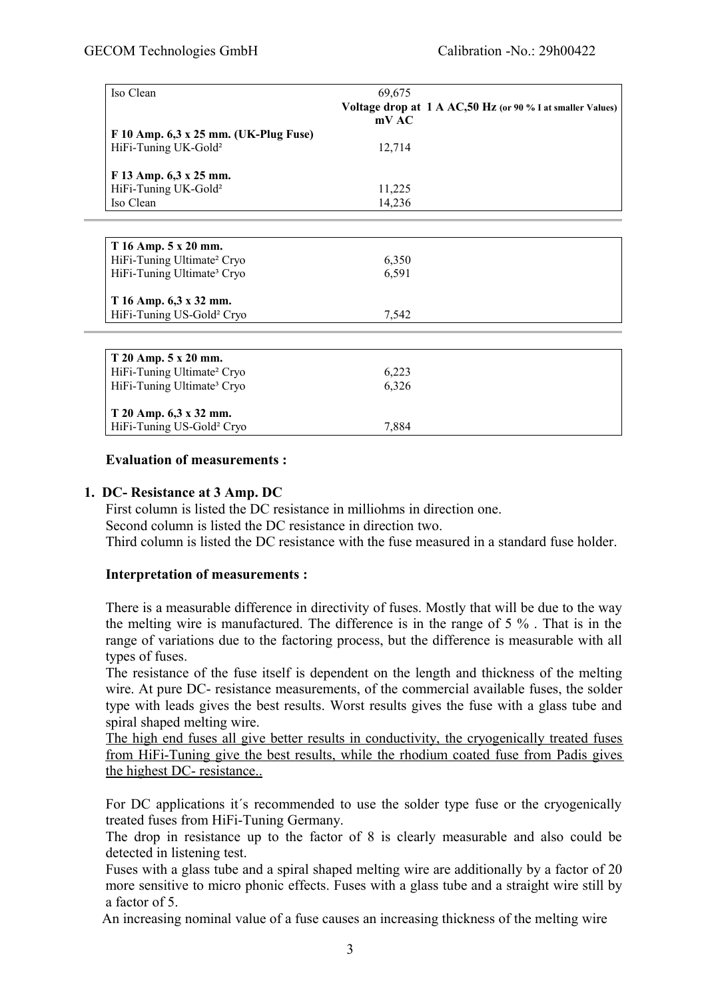| Iso Clean                              | 69,675<br>Voltage drop at 1 A AC, 50 Hz (or 90 % I at smaller Values)<br>mV AC |
|----------------------------------------|--------------------------------------------------------------------------------|
| F 10 Amp. 6,3 x 25 mm. (UK-Plug Fuse)  |                                                                                |
| HiFi-Tuning UK-Gold <sup>2</sup>       | 12,714                                                                         |
|                                        |                                                                                |
| F 13 Amp. 6,3 x 25 mm.                 |                                                                                |
| HiFi-Tuning UK-Gold <sup>2</sup>       | 11,225                                                                         |
| Iso Clean                              | 14,236                                                                         |
|                                        |                                                                                |
|                                        |                                                                                |
| T 16 Amp. 5 x 20 mm.                   |                                                                                |
| HiFi-Tuning Ultimate <sup>2</sup> Cryo | 6,350                                                                          |
| HiFi-Tuning Ultimate <sup>3</sup> Cryo | 6,591                                                                          |
|                                        |                                                                                |
| T 16 Amp. 6,3 x 32 mm.                 |                                                                                |
| HiFi-Tuning US-Gold <sup>2</sup> Cryo  | 7,542                                                                          |
|                                        |                                                                                |
|                                        |                                                                                |
| T 20 Amp. 5 x 20 mm.                   |                                                                                |
| HiFi-Tuning Ultimate <sup>2</sup> Cryo | 6,223                                                                          |
| HiFi-Tuning Ultimate <sup>3</sup> Cryo | 6,326                                                                          |
|                                        |                                                                                |
| T 20 Amp. 6,3 x 32 mm.                 |                                                                                |
| HiFi-Tuning US-Gold <sup>2</sup> Cryo  | 7,884                                                                          |

#### **Evaluation of measurements :**

### **1. DC- Resistance at 3 Amp. DC**

First column is listed the DC resistance in milliohms in direction one. Second column is listed the DC resistance in direction two. Third column is listed the DC resistance with the fuse measured in a standard fuse holder.

#### **Interpretation of measurements :**

There is a measurable difference in directivity of fuses. Mostly that will be due to the way the melting wire is manufactured. The difference is in the range of 5 % . That is in the range of variations due to the factoring process, but the difference is measurable with all types of fuses.

The resistance of the fuse itself is dependent on the length and thickness of the melting wire. At pure DC- resistance measurements, of the commercial available fuses, the solder type with leads gives the best results. Worst results gives the fuse with a glass tube and spiral shaped melting wire.

The high end fuses all give better results in conductivity, the cryogenically treated fuses from HiFi -Tuning give the best results, while the rhodium coated fuse from Padis gives the highest DC- resistance..

For DC applications it´s recommended to use the solder type fuse or the cryogenically treated fuses from HiFi-Tuning Germany.

The drop in resistance up to the factor of 8 is clearly measurable and also could be detected in listening test.

Fuses with a glass tube and a spiral shaped melting wire are additionally by a factor of 20 more sensitive to micro phonic effects. Fuses with a glass tube and a straight wire still by a factor of 5.

An increasing nominal value of a fuse causes an increasing thickness of the melting wire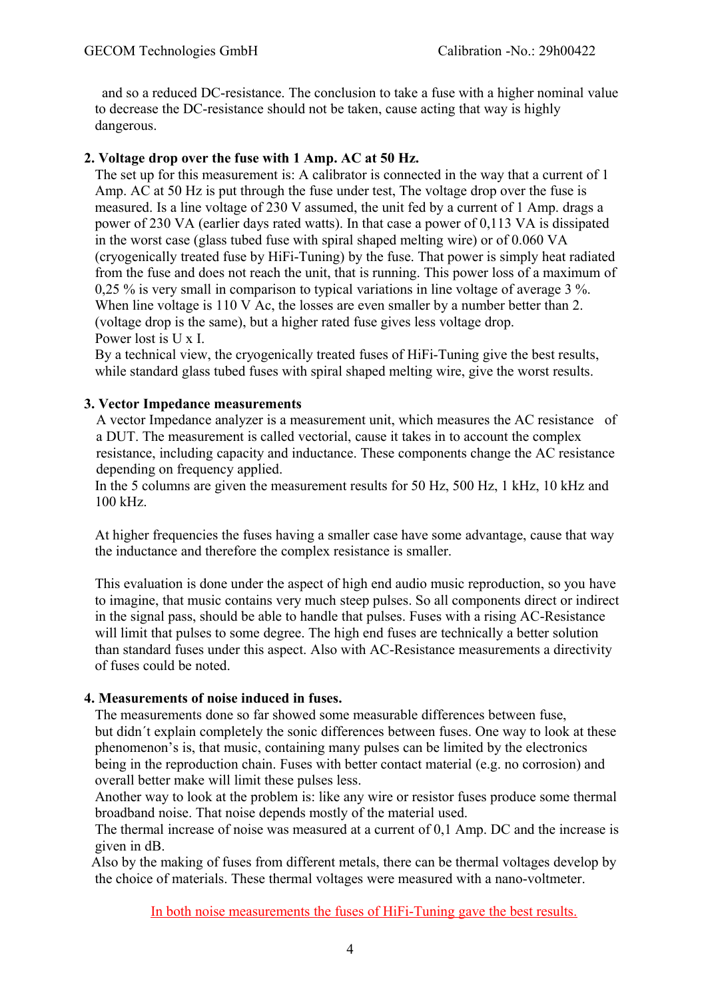and so a reduced DC-resistance. The conclusion to take a fuse with a higher nominal value to decrease the DC-resistance should not be taken, cause acting that way is highly dangerous.

## **2. Voltage drop over the fuse with 1 Amp. AC at 50 Hz.**

 The set up for this measurement is: A calibrator is connected in the way that a current of 1 Amp. AC at 50 Hz is put through the fuse under test, The voltage drop over the fuse is measured. Is a line voltage of 230 V assumed, the unit fed by a current of 1 Amp. drags a power of 230 VA (earlier days rated watts). In that case a power of 0,113 VA is dissipated in the worst case (glass tubed fuse with spiral shaped melting wire) or of 0.060 VA (cryogenically treated fuse by HiFi-Tuning) by the fuse. That power is simply heat radiated from the fuse and does not reach the unit, that is running. This power loss of a maximum of 0,25 % is very small in comparison to typical variations in line voltage of average 3 %. When line voltage is 110 V Ac, the losses are even smaller by a number better than 2. (voltage drop is the same), but a higher rated fuse gives less voltage drop. Power lost is U x I.

 By a technical view, the cryogenically treated fuses of HiFi-Tuning give the best results, while standard glass tubed fuses with spiral shaped melting wire, give the worst results.

## **3. Vector Impedance measurements**

A vector Impedance analyzer is a measurement unit, which measures the AC resistance of a DUT. The measurement is called vectorial, cause it takes in to account the complex resistance, including capacity and inductance. These components change the AC resistance depending on frequency applied.

 In the 5 columns are given the measurement results for 50 Hz, 500 Hz, 1 kHz, 10 kHz and 100 kHz.

 At higher frequencies the fuses having a smaller case have some advantage, cause that way the inductance and therefore the complex resistance is smaller.

 This evaluation is done under the aspect of high end audio music reproduction, so you have to imagine, that music contains very much steep pulses. So all components direct or indirect in the signal pass, should be able to handle that pulses. Fuses with a rising AC-Resistance will limit that pulses to some degree. The high end fuses are technically a better solution than standard fuses under this aspect. Also with AC-Resistance measurements a directivity of fuses could be noted.

## **4. Measurements of noise induced in fuses.**

 The measurements done so far showed some measurable differences between fuse, but didn´t explain completely the sonic differences between fuses. One way to look at these phenomenon's is, that music, containing many pulses can be limited by the electronics being in the reproduction chain. Fuses with better contact material (e.g. no corrosion) and overall better make will limit these pulses less.

 Another way to look at the problem is: like any wire or resistor fuses produce some thermal broadband noise. That noise depends mostly of the material used.

 The thermal increase of noise was measured at a current of 0,1 Amp. DC and the increase is given in dB.

 Also by the making of fuses from different metals, there can be thermal voltages develop by the choice of materials. These thermal voltages were measured with a nano-voltmeter.

In both noise measurements the fuses of HiFi-Tuning gave the best results.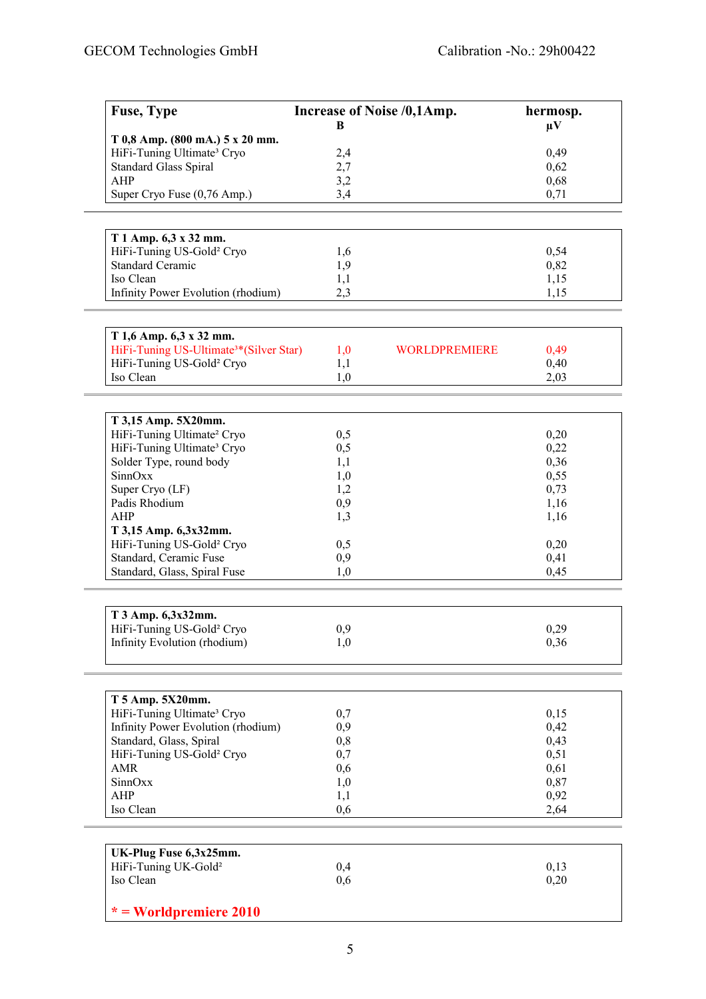| T 0,8 Amp. (800 mA.) 5 x 20 mm.<br>HiFi-Tuning Ultimate <sup>3</sup> Cryo<br>2,4<br>0,49<br>2,7<br><b>Standard Glass Spiral</b><br>0,62<br>3,2<br><b>AHP</b><br>0,68<br>3,4<br>0,71<br>Super Cryo Fuse (0,76 Amp.)<br>T 1 Amp. 6,3 x 32 mm.<br>HiFi-Tuning US-Gold <sup>2</sup> Cryo<br>0,54<br>1,6<br><b>Standard Ceramic</b><br>1,9<br>0,82<br>Iso Clean<br>1,1<br>1,15<br>Infinity Power Evolution (rhodium)<br>2,3<br>1,15<br>T 1,6 Amp. 6,3 x 32 mm.<br>HiFi-Tuning US-Ultimate <sup>3*</sup> (Silver Star)<br>1,0<br><b>WORLDPREMIERE</b><br>0,49<br>HiFi-Tuning US-Gold <sup>2</sup> Cryo<br>1,1<br>0,40<br>Iso Clean<br>1,0<br>2,03<br>T 3,15 Amp. 5X20mm.<br>HiFi-Tuning Ultimate <sup>2</sup> Cryo<br>0,5<br>0,20<br>HiFi-Tuning Ultimate <sup>3</sup> Cryo<br>0,5<br>0,22<br>Solder Type, round body<br>0,36<br>1,1<br>SinnOxx<br>0,55<br>1,0<br>Super Cryo (LF)<br>1,2<br>0,73<br>Padis Rhodium<br>0,9<br>1,16<br><b>AHP</b><br>1,3<br>1,16<br>T 3,15 Amp. 6,3x32mm.<br>HiFi-Tuning US-Gold <sup>2</sup> Cryo<br>0,5<br>0,20<br>Standard, Ceramic Fuse<br>0,41<br>0,9<br>Standard, Glass, Spiral Fuse<br>0,45<br>1,0<br>T 3 Amp. 6,3x32mm.<br>HiFi-Tuning US-Gold <sup>2</sup> Cryo<br>0,29<br>0,9<br>Infinity Evolution (rhodium)<br>0,36<br>1,0<br>T 5 Amp. 5X20mm.<br>HiFi-Tuning Ultimate <sup>3</sup> Cryo<br>0,7<br>0,15<br>Infinity Power Evolution (rhodium)<br>0,9<br>0,42<br>Standard, Glass, Spiral<br>0,43<br>0,8<br>HiFi-Tuning US-Gold <sup>2</sup> Cryo<br>0,7<br>0,51<br><b>AMR</b><br>0,61<br>0,6<br>SinnOxx<br>0,87<br>1,0<br><b>AHP</b><br>1,1<br>0,92<br>Iso Clean<br>0,6<br>2,64<br>UK-Plug Fuse 6,3x25mm.<br>HiFi-Tuning UK-Gold <sup>2</sup><br>0,4<br>0,13<br>Iso Clean<br>0,20<br>0,6 | <b>Fuse, Type</b> | Increase of Noise /0,1Amp. |  | hermosp. |
|----------------------------------------------------------------------------------------------------------------------------------------------------------------------------------------------------------------------------------------------------------------------------------------------------------------------------------------------------------------------------------------------------------------------------------------------------------------------------------------------------------------------------------------------------------------------------------------------------------------------------------------------------------------------------------------------------------------------------------------------------------------------------------------------------------------------------------------------------------------------------------------------------------------------------------------------------------------------------------------------------------------------------------------------------------------------------------------------------------------------------------------------------------------------------------------------------------------------------------------------------------------------------------------------------------------------------------------------------------------------------------------------------------------------------------------------------------------------------------------------------------------------------------------------------------------------------------------------------------------------------------------------------------------------------------------------------------------------------|-------------------|----------------------------|--|----------|
|                                                                                                                                                                                                                                                                                                                                                                                                                                                                                                                                                                                                                                                                                                                                                                                                                                                                                                                                                                                                                                                                                                                                                                                                                                                                                                                                                                                                                                                                                                                                                                                                                                                                                                                            |                   | B                          |  | $\mu$ V  |
|                                                                                                                                                                                                                                                                                                                                                                                                                                                                                                                                                                                                                                                                                                                                                                                                                                                                                                                                                                                                                                                                                                                                                                                                                                                                                                                                                                                                                                                                                                                                                                                                                                                                                                                            |                   |                            |  |          |
|                                                                                                                                                                                                                                                                                                                                                                                                                                                                                                                                                                                                                                                                                                                                                                                                                                                                                                                                                                                                                                                                                                                                                                                                                                                                                                                                                                                                                                                                                                                                                                                                                                                                                                                            |                   |                            |  |          |
|                                                                                                                                                                                                                                                                                                                                                                                                                                                                                                                                                                                                                                                                                                                                                                                                                                                                                                                                                                                                                                                                                                                                                                                                                                                                                                                                                                                                                                                                                                                                                                                                                                                                                                                            |                   |                            |  |          |
|                                                                                                                                                                                                                                                                                                                                                                                                                                                                                                                                                                                                                                                                                                                                                                                                                                                                                                                                                                                                                                                                                                                                                                                                                                                                                                                                                                                                                                                                                                                                                                                                                                                                                                                            |                   |                            |  |          |
|                                                                                                                                                                                                                                                                                                                                                                                                                                                                                                                                                                                                                                                                                                                                                                                                                                                                                                                                                                                                                                                                                                                                                                                                                                                                                                                                                                                                                                                                                                                                                                                                                                                                                                                            |                   |                            |  |          |
|                                                                                                                                                                                                                                                                                                                                                                                                                                                                                                                                                                                                                                                                                                                                                                                                                                                                                                                                                                                                                                                                                                                                                                                                                                                                                                                                                                                                                                                                                                                                                                                                                                                                                                                            |                   |                            |  |          |
|                                                                                                                                                                                                                                                                                                                                                                                                                                                                                                                                                                                                                                                                                                                                                                                                                                                                                                                                                                                                                                                                                                                                                                                                                                                                                                                                                                                                                                                                                                                                                                                                                                                                                                                            |                   |                            |  |          |
|                                                                                                                                                                                                                                                                                                                                                                                                                                                                                                                                                                                                                                                                                                                                                                                                                                                                                                                                                                                                                                                                                                                                                                                                                                                                                                                                                                                                                                                                                                                                                                                                                                                                                                                            |                   |                            |  |          |
|                                                                                                                                                                                                                                                                                                                                                                                                                                                                                                                                                                                                                                                                                                                                                                                                                                                                                                                                                                                                                                                                                                                                                                                                                                                                                                                                                                                                                                                                                                                                                                                                                                                                                                                            |                   |                            |  |          |
|                                                                                                                                                                                                                                                                                                                                                                                                                                                                                                                                                                                                                                                                                                                                                                                                                                                                                                                                                                                                                                                                                                                                                                                                                                                                                                                                                                                                                                                                                                                                                                                                                                                                                                                            |                   |                            |  |          |
|                                                                                                                                                                                                                                                                                                                                                                                                                                                                                                                                                                                                                                                                                                                                                                                                                                                                                                                                                                                                                                                                                                                                                                                                                                                                                                                                                                                                                                                                                                                                                                                                                                                                                                                            |                   |                            |  |          |
|                                                                                                                                                                                                                                                                                                                                                                                                                                                                                                                                                                                                                                                                                                                                                                                                                                                                                                                                                                                                                                                                                                                                                                                                                                                                                                                                                                                                                                                                                                                                                                                                                                                                                                                            |                   |                            |  |          |
|                                                                                                                                                                                                                                                                                                                                                                                                                                                                                                                                                                                                                                                                                                                                                                                                                                                                                                                                                                                                                                                                                                                                                                                                                                                                                                                                                                                                                                                                                                                                                                                                                                                                                                                            |                   |                            |  |          |
|                                                                                                                                                                                                                                                                                                                                                                                                                                                                                                                                                                                                                                                                                                                                                                                                                                                                                                                                                                                                                                                                                                                                                                                                                                                                                                                                                                                                                                                                                                                                                                                                                                                                                                                            |                   |                            |  |          |
|                                                                                                                                                                                                                                                                                                                                                                                                                                                                                                                                                                                                                                                                                                                                                                                                                                                                                                                                                                                                                                                                                                                                                                                                                                                                                                                                                                                                                                                                                                                                                                                                                                                                                                                            |                   |                            |  |          |
|                                                                                                                                                                                                                                                                                                                                                                                                                                                                                                                                                                                                                                                                                                                                                                                                                                                                                                                                                                                                                                                                                                                                                                                                                                                                                                                                                                                                                                                                                                                                                                                                                                                                                                                            |                   |                            |  |          |
|                                                                                                                                                                                                                                                                                                                                                                                                                                                                                                                                                                                                                                                                                                                                                                                                                                                                                                                                                                                                                                                                                                                                                                                                                                                                                                                                                                                                                                                                                                                                                                                                                                                                                                                            |                   |                            |  |          |
|                                                                                                                                                                                                                                                                                                                                                                                                                                                                                                                                                                                                                                                                                                                                                                                                                                                                                                                                                                                                                                                                                                                                                                                                                                                                                                                                                                                                                                                                                                                                                                                                                                                                                                                            |                   |                            |  |          |
|                                                                                                                                                                                                                                                                                                                                                                                                                                                                                                                                                                                                                                                                                                                                                                                                                                                                                                                                                                                                                                                                                                                                                                                                                                                                                                                                                                                                                                                                                                                                                                                                                                                                                                                            |                   |                            |  |          |
|                                                                                                                                                                                                                                                                                                                                                                                                                                                                                                                                                                                                                                                                                                                                                                                                                                                                                                                                                                                                                                                                                                                                                                                                                                                                                                                                                                                                                                                                                                                                                                                                                                                                                                                            |                   |                            |  |          |
|                                                                                                                                                                                                                                                                                                                                                                                                                                                                                                                                                                                                                                                                                                                                                                                                                                                                                                                                                                                                                                                                                                                                                                                                                                                                                                                                                                                                                                                                                                                                                                                                                                                                                                                            |                   |                            |  |          |
|                                                                                                                                                                                                                                                                                                                                                                                                                                                                                                                                                                                                                                                                                                                                                                                                                                                                                                                                                                                                                                                                                                                                                                                                                                                                                                                                                                                                                                                                                                                                                                                                                                                                                                                            |                   |                            |  |          |
|                                                                                                                                                                                                                                                                                                                                                                                                                                                                                                                                                                                                                                                                                                                                                                                                                                                                                                                                                                                                                                                                                                                                                                                                                                                                                                                                                                                                                                                                                                                                                                                                                                                                                                                            |                   |                            |  |          |
|                                                                                                                                                                                                                                                                                                                                                                                                                                                                                                                                                                                                                                                                                                                                                                                                                                                                                                                                                                                                                                                                                                                                                                                                                                                                                                                                                                                                                                                                                                                                                                                                                                                                                                                            |                   |                            |  |          |
|                                                                                                                                                                                                                                                                                                                                                                                                                                                                                                                                                                                                                                                                                                                                                                                                                                                                                                                                                                                                                                                                                                                                                                                                                                                                                                                                                                                                                                                                                                                                                                                                                                                                                                                            |                   |                            |  |          |
|                                                                                                                                                                                                                                                                                                                                                                                                                                                                                                                                                                                                                                                                                                                                                                                                                                                                                                                                                                                                                                                                                                                                                                                                                                                                                                                                                                                                                                                                                                                                                                                                                                                                                                                            |                   |                            |  |          |
|                                                                                                                                                                                                                                                                                                                                                                                                                                                                                                                                                                                                                                                                                                                                                                                                                                                                                                                                                                                                                                                                                                                                                                                                                                                                                                                                                                                                                                                                                                                                                                                                                                                                                                                            |                   |                            |  |          |
|                                                                                                                                                                                                                                                                                                                                                                                                                                                                                                                                                                                                                                                                                                                                                                                                                                                                                                                                                                                                                                                                                                                                                                                                                                                                                                                                                                                                                                                                                                                                                                                                                                                                                                                            |                   |                            |  |          |
|                                                                                                                                                                                                                                                                                                                                                                                                                                                                                                                                                                                                                                                                                                                                                                                                                                                                                                                                                                                                                                                                                                                                                                                                                                                                                                                                                                                                                                                                                                                                                                                                                                                                                                                            |                   |                            |  |          |
|                                                                                                                                                                                                                                                                                                                                                                                                                                                                                                                                                                                                                                                                                                                                                                                                                                                                                                                                                                                                                                                                                                                                                                                                                                                                                                                                                                                                                                                                                                                                                                                                                                                                                                                            |                   |                            |  |          |
|                                                                                                                                                                                                                                                                                                                                                                                                                                                                                                                                                                                                                                                                                                                                                                                                                                                                                                                                                                                                                                                                                                                                                                                                                                                                                                                                                                                                                                                                                                                                                                                                                                                                                                                            |                   |                            |  |          |
|                                                                                                                                                                                                                                                                                                                                                                                                                                                                                                                                                                                                                                                                                                                                                                                                                                                                                                                                                                                                                                                                                                                                                                                                                                                                                                                                                                                                                                                                                                                                                                                                                                                                                                                            |                   |                            |  |          |
|                                                                                                                                                                                                                                                                                                                                                                                                                                                                                                                                                                                                                                                                                                                                                                                                                                                                                                                                                                                                                                                                                                                                                                                                                                                                                                                                                                                                                                                                                                                                                                                                                                                                                                                            |                   |                            |  |          |
|                                                                                                                                                                                                                                                                                                                                                                                                                                                                                                                                                                                                                                                                                                                                                                                                                                                                                                                                                                                                                                                                                                                                                                                                                                                                                                                                                                                                                                                                                                                                                                                                                                                                                                                            |                   |                            |  |          |
|                                                                                                                                                                                                                                                                                                                                                                                                                                                                                                                                                                                                                                                                                                                                                                                                                                                                                                                                                                                                                                                                                                                                                                                                                                                                                                                                                                                                                                                                                                                                                                                                                                                                                                                            |                   |                            |  |          |
|                                                                                                                                                                                                                                                                                                                                                                                                                                                                                                                                                                                                                                                                                                                                                                                                                                                                                                                                                                                                                                                                                                                                                                                                                                                                                                                                                                                                                                                                                                                                                                                                                                                                                                                            |                   |                            |  |          |
|                                                                                                                                                                                                                                                                                                                                                                                                                                                                                                                                                                                                                                                                                                                                                                                                                                                                                                                                                                                                                                                                                                                                                                                                                                                                                                                                                                                                                                                                                                                                                                                                                                                                                                                            |                   |                            |  |          |
|                                                                                                                                                                                                                                                                                                                                                                                                                                                                                                                                                                                                                                                                                                                                                                                                                                                                                                                                                                                                                                                                                                                                                                                                                                                                                                                                                                                                                                                                                                                                                                                                                                                                                                                            |                   |                            |  |          |
|                                                                                                                                                                                                                                                                                                                                                                                                                                                                                                                                                                                                                                                                                                                                                                                                                                                                                                                                                                                                                                                                                                                                                                                                                                                                                                                                                                                                                                                                                                                                                                                                                                                                                                                            |                   |                            |  |          |
|                                                                                                                                                                                                                                                                                                                                                                                                                                                                                                                                                                                                                                                                                                                                                                                                                                                                                                                                                                                                                                                                                                                                                                                                                                                                                                                                                                                                                                                                                                                                                                                                                                                                                                                            |                   |                            |  |          |
|                                                                                                                                                                                                                                                                                                                                                                                                                                                                                                                                                                                                                                                                                                                                                                                                                                                                                                                                                                                                                                                                                                                                                                                                                                                                                                                                                                                                                                                                                                                                                                                                                                                                                                                            |                   |                            |  |          |
|                                                                                                                                                                                                                                                                                                                                                                                                                                                                                                                                                                                                                                                                                                                                                                                                                                                                                                                                                                                                                                                                                                                                                                                                                                                                                                                                                                                                                                                                                                                                                                                                                                                                                                                            |                   |                            |  |          |
|                                                                                                                                                                                                                                                                                                                                                                                                                                                                                                                                                                                                                                                                                                                                                                                                                                                                                                                                                                                                                                                                                                                                                                                                                                                                                                                                                                                                                                                                                                                                                                                                                                                                                                                            |                   |                            |  |          |
|                                                                                                                                                                                                                                                                                                                                                                                                                                                                                                                                                                                                                                                                                                                                                                                                                                                                                                                                                                                                                                                                                                                                                                                                                                                                                                                                                                                                                                                                                                                                                                                                                                                                                                                            |                   |                            |  |          |
|                                                                                                                                                                                                                                                                                                                                                                                                                                                                                                                                                                                                                                                                                                                                                                                                                                                                                                                                                                                                                                                                                                                                                                                                                                                                                                                                                                                                                                                                                                                                                                                                                                                                                                                            |                   |                            |  |          |